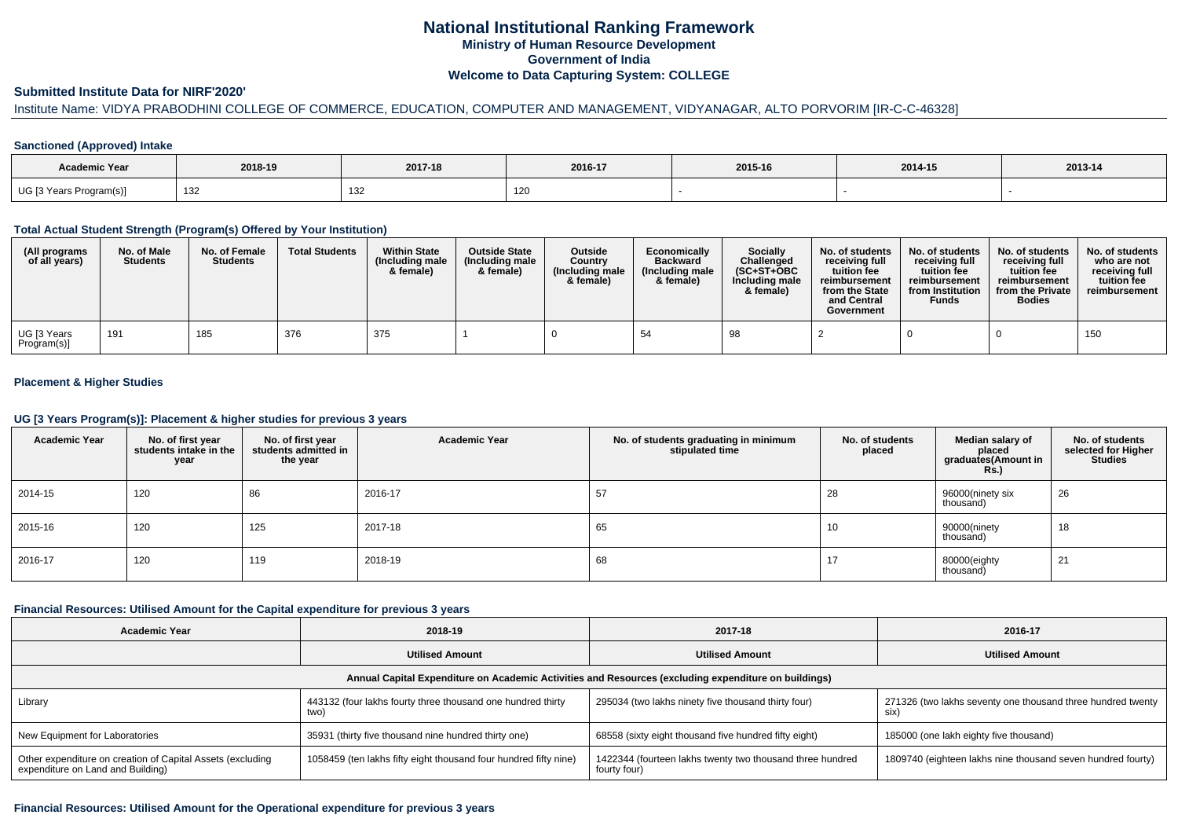# **National Institutional Ranking FrameworkMinistry of Human Resource DevelopmentGovernment of IndiaWelcome to Data Capturing System: COLLEGE**

## **Submitted Institute Data for NIRF'2020'**

# Institute Name: VIDYA PRABODHINI COLLEGE OF COMMERCE, EDUCATION, COMPUTER AND MANAGEMENT, VIDYANAGAR, ALTO PORVORIM [IR-C-C-46328]

#### **Sanctioned (Approved) Intake**

| Academic Year           | 2018-19     | 2017-18    | 2016-17 | 2015-16 | 2014-15 | $2013 - 14$ |
|-------------------------|-------------|------------|---------|---------|---------|-------------|
| UG [3 Years Program(s)] | 130<br>ےں ا | 12'<br>ےت∟ | ∣∠∪     |         |         |             |

### **Total Actual Student Strength (Program(s) Offered by Your Institution)**

| (All programs<br>of all years)          | No. of Male<br><b>Students</b> | No. of Female<br><b>Students</b> | <b>Total Students</b> | <b>Within State</b><br>(Including male<br>& female) | <b>Outside State</b><br>(Including male<br>& female) | <b>Outside</b><br>Country<br>(Including male<br>& female) | Economically<br><b>Backward</b><br>(Including male<br>& female) | Socially<br>Challenged<br>$(SC+ST+OBC$<br>Including male<br>& female) | No. of students<br>receiving full<br>tuition fee<br>reimbursement<br>from the State<br>and Central<br>Government | No. of students<br>receiving full<br>tuition fee<br>reimbursement<br>from Institution<br><b>Funds</b> | No. of students<br>receiving full<br>tuition fee<br>reimbursement<br>from the Private<br><b>Bodies</b> | No. of students<br>who are not<br>receiving full<br>tuition fee<br>reimbursement |
|-----------------------------------------|--------------------------------|----------------------------------|-----------------------|-----------------------------------------------------|------------------------------------------------------|-----------------------------------------------------------|-----------------------------------------------------------------|-----------------------------------------------------------------------|------------------------------------------------------------------------------------------------------------------|-------------------------------------------------------------------------------------------------------|--------------------------------------------------------------------------------------------------------|----------------------------------------------------------------------------------|
| <sup>l</sup> UG [3 Years<br>Program(s)] | 191                            | 185                              | 376                   | 375                                                 |                                                      |                                                           | 54                                                              | 98                                                                    |                                                                                                                  |                                                                                                       |                                                                                                        | 150                                                                              |

## **Placement & Higher Studies**

### **UG [3 Years Program(s)]: Placement & higher studies for previous 3 years**

| <b>Academic Year</b> | No. of first year<br>students intake in the<br>year | No. of first year<br>students admitted in<br>the year | <b>Academic Year</b> | No. of students graduating in minimum<br>stipulated time | No. of students<br>placed | Median salary of<br>placed<br>graduates(Amount in<br><b>Rs.)</b> | No. of students<br>selected for Higher<br><b>Studies</b> |
|----------------------|-----------------------------------------------------|-------------------------------------------------------|----------------------|----------------------------------------------------------|---------------------------|------------------------------------------------------------------|----------------------------------------------------------|
| 2014-15              | 120                                                 | 86                                                    | 2016-17              | 57                                                       | 28                        | 96000(ninety six<br>thousand)                                    | 26                                                       |
| 2015-16              | 120                                                 | 125                                                   | 2017-18              | 65                                                       | 10                        | 90000(ninety<br>thousand)                                        | 18                                                       |
| 2016-17              | 120                                                 | 119                                                   | 2018-19              | 68                                                       | 17                        | 80000(eighty<br>thousand)                                        | 21                                                       |

### **Financial Resources: Utilised Amount for the Capital expenditure for previous 3 years**

| <b>Academic Year</b>                                                                                 | 2018-19                                                             | 2017-18                                                                   | 2016-17                                                             |  |  |  |  |  |  |  |
|------------------------------------------------------------------------------------------------------|---------------------------------------------------------------------|---------------------------------------------------------------------------|---------------------------------------------------------------------|--|--|--|--|--|--|--|
|                                                                                                      | <b>Utilised Amount</b>                                              | <b>Utilised Amount</b>                                                    | <b>Utilised Amount</b>                                              |  |  |  |  |  |  |  |
| Annual Capital Expenditure on Academic Activities and Resources (excluding expenditure on buildings) |                                                                     |                                                                           |                                                                     |  |  |  |  |  |  |  |
| Library                                                                                              | 443132 (four lakhs fourty three thousand one hundred thirty<br>two) | 295034 (two lakhs ninety five thousand thirty four)                       | 271326 (two lakhs seventy one thousand three hundred twenty<br>SIX) |  |  |  |  |  |  |  |
| New Equipment for Laboratories                                                                       | 35931 (thirty five thousand nine hundred thirty one)                | 68558 (sixty eight thousand five hundred fifty eight)                     | 185000 (one lakh eighty five thousand)                              |  |  |  |  |  |  |  |
| Other expenditure on creation of Capital Assets (excluding<br>expenditure on Land and Building)      | 1058459 (ten lakhs fifty eight thousand four hundred fifty nine)    | 1422344 (fourteen lakhs twenty two thousand three hundred<br>fourty four) | 1809740 (eighteen lakhs nine thousand seven hundred fourty)         |  |  |  |  |  |  |  |

#### **Financial Resources: Utilised Amount for the Operational expenditure for previous 3 years**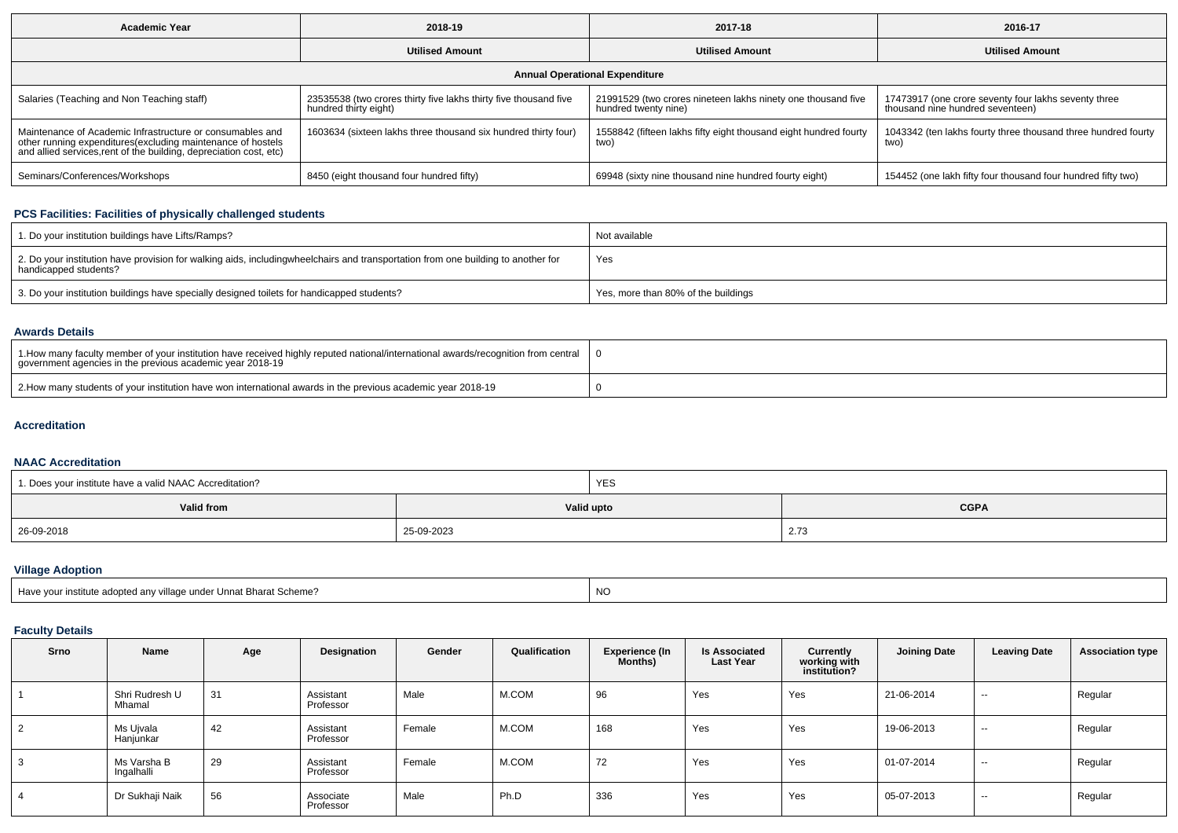| <b>Academic Year</b>                                                                                                                                                                            | 2018-19                                                                                   | 2017-18                                                                              | 2016-17                                                                                  |  |  |  |  |  |  |  |
|-------------------------------------------------------------------------------------------------------------------------------------------------------------------------------------------------|-------------------------------------------------------------------------------------------|--------------------------------------------------------------------------------------|------------------------------------------------------------------------------------------|--|--|--|--|--|--|--|
|                                                                                                                                                                                                 | <b>Utilised Amount</b>                                                                    | <b>Utilised Amount</b>                                                               | <b>Utilised Amount</b>                                                                   |  |  |  |  |  |  |  |
| <b>Annual Operational Expenditure</b>                                                                                                                                                           |                                                                                           |                                                                                      |                                                                                          |  |  |  |  |  |  |  |
| Salaries (Teaching and Non Teaching staff)                                                                                                                                                      | 23535538 (two crores thirty five lakhs thirty five thousand five<br>hundred thirty eight) | 21991529 (two crores nineteen lakhs ninety one thousand five<br>hundred twenty nine) | 17473917 (one crore seventy four lakhs seventy three<br>thousand nine hundred seventeen) |  |  |  |  |  |  |  |
| Maintenance of Academic Infrastructure or consumables and<br>other running expenditures (excluding maintenance of hostels<br>and allied services, rent of the building, depreciation cost, etc) | 1603634 (sixteen lakhs three thousand six hundred thirty four)                            | 1558842 (fifteen lakhs fifty eight thousand eight hundred fourty<br>two)             | 1043342 (ten lakhs fourty three thousand three hundred fourty<br>two)                    |  |  |  |  |  |  |  |
| Seminars/Conferences/Workshops                                                                                                                                                                  | 8450 (eight thousand four hundred fifty)                                                  | 69948 (sixty nine thousand nine hundred fourty eight)                                | 154452 (one lakh fifty four thousand four hundred fifty two)                             |  |  |  |  |  |  |  |

## **PCS Facilities: Facilities of physically challenged students**

| 1. Do your institution buildings have Lifts/Ramps?                                                                                                        | Not available                       |
|-----------------------------------------------------------------------------------------------------------------------------------------------------------|-------------------------------------|
| 2. Do your institution have provision for walking aids, includingwheelchairs and transportation from one building to another for<br>handicapped students? | Yes                                 |
| 3. Do your institution buildings have specially designed toilets for handicapped students?                                                                | Yes, more than 80% of the buildings |

### **Awards Details**

| 1. How many faculty member of your institution have received highly reputed national/international awards/recognition from central<br>government agencies in the previous academic vear 2018-19 |  |
|-------------------------------------------------------------------------------------------------------------------------------------------------------------------------------------------------|--|
| 2. How many students of your institution have won international awards in the previous academic year 2018-19                                                                                    |  |

## **Accreditation**

### **NAAC Accreditation**

| 1. Does your institute have a valid NAAC Accreditation? |            | <b>YES</b>                |                      |  |  |
|---------------------------------------------------------|------------|---------------------------|----------------------|--|--|
| <b>Valid from</b>                                       |            | Valid upto<br><b>CGPA</b> |                      |  |  |
| 26-09-2018<br>the contract of the contract of           | 25-09-2023 |                           | $\sim$ $-$<br>2. I C |  |  |

# **Village Adoption**

| Have vour institute adopted any village under Unnat Bharat Scheme? | $\overline{M}$<br>IVV |
|--------------------------------------------------------------------|-----------------------|
|                                                                    |                       |

## **Faculty Details**

| Srno           | Name                      | Age | Designation            | Gender | Qualification | <b>Experience (In</b><br>Months) | <b>Is Associated</b><br><b>Last Year</b> | Currently<br>working with<br>institution? | <b>Joining Date</b> | <b>Leaving Date</b> | <b>Association type</b> |
|----------------|---------------------------|-----|------------------------|--------|---------------|----------------------------------|------------------------------------------|-------------------------------------------|---------------------|---------------------|-------------------------|
|                | Shri Rudresh U<br>Mhamal  | 31  | Assistant<br>Professor | Male   | M.COM         | 96                               | Yes                                      | Yes                                       | 21-06-2014          | $\sim$              | Regular                 |
| $\overline{2}$ | Ms Ujvala<br>Hanjunkar    | 42  | Assistant<br>Professor | Female | M.COM         | 168                              | Yes                                      | Yes                                       | 19-06-2013          | $\sim$              | Regular                 |
| 3              | Ms Varsha B<br>Ingalhalli | 29  | Assistant<br>Professor | Female | M.COM         | 72                               | Yes                                      | Yes                                       | 01-07-2014          | $\sim$              | Regular                 |
| 4              | Dr Sukhaji Naik           | 56  | Associate<br>Professor | Male   | Ph.D          | 336                              | Yes                                      | Yes                                       | 05-07-2013          | $\sim$              | Regular                 |